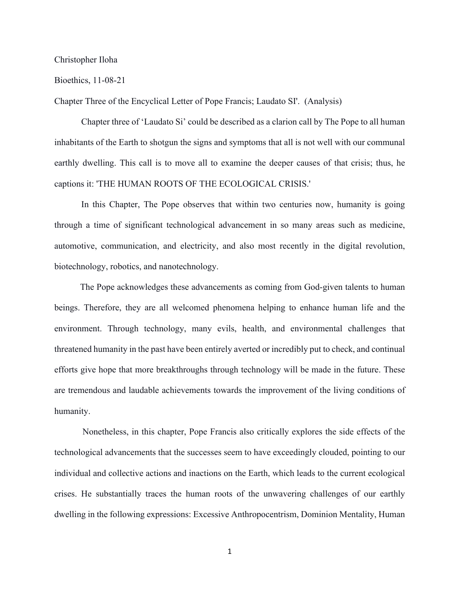## Christopher Iloha

## Bioethics, 11-08-21

Chapter Three of the Encyclical Letter of Pope Francis; Laudato SI'. (Analysis)

Chapter three of 'Laudato Si' could be described as a clarion call by The Pope to all human inhabitants of the Earth to shotgun the signs and symptoms that all is not well with our communal earthly dwelling. This call is to move all to examine the deeper causes of that crisis; thus, he captions it: 'THE HUMAN ROOTS OF THE ECOLOGICAL CRISIS.'

In this Chapter, The Pope observes that within two centuries now, humanity is going through a time of significant technological advancement in so many areas such as medicine, automotive, communication, and electricity, and also most recently in the digital revolution, biotechnology, robotics, and nanotechnology.

The Pope acknowledges these advancements as coming from God-given talents to human beings. Therefore, they are all welcomed phenomena helping to enhance human life and the environment. Through technology, many evils, health, and environmental challenges that threatened humanity in the past have been entirely averted or incredibly put to check, and continual efforts give hope that more breakthroughs through technology will be made in the future. These are tremendous and laudable achievements towards the improvement of the living conditions of humanity.

Nonetheless, in this chapter, Pope Francis also critically explores the side effects of the technological advancements that the successes seem to have exceedingly clouded, pointing to our individual and collective actions and inactions on the Earth, which leads to the current ecological crises. He substantially traces the human roots of the unwavering challenges of our earthly dwelling in the following expressions: Excessive Anthropocentrism, Dominion Mentality, Human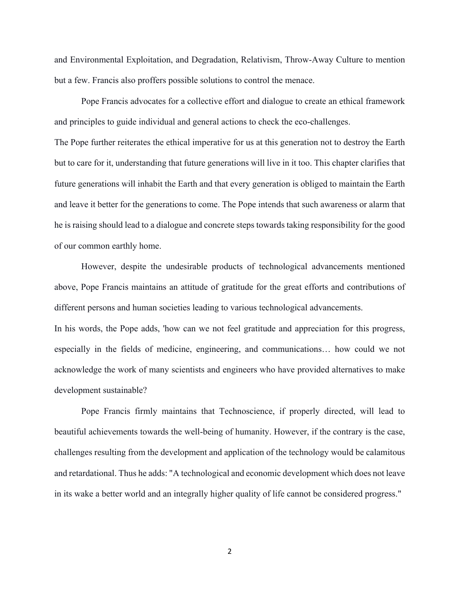and Environmental Exploitation, and Degradation, Relativism, Throw-Away Culture to mention but a few. Francis also proffers possible solutions to control the menace.

Pope Francis advocates for a collective effort and dialogue to create an ethical framework and principles to guide individual and general actions to check the eco-challenges.

The Pope further reiterates the ethical imperative for us at this generation not to destroy the Earth but to care for it, understanding that future generations will live in it too. This chapter clarifies that future generations will inhabit the Earth and that every generation is obliged to maintain the Earth and leave it better for the generations to come. The Pope intends that such awareness or alarm that he is raising should lead to a dialogue and concrete steps towards taking responsibility for the good of our common earthly home.

However, despite the undesirable products of technological advancements mentioned above, Pope Francis maintains an attitude of gratitude for the great efforts and contributions of different persons and human societies leading to various technological advancements.

In his words, the Pope adds, 'how can we not feel gratitude and appreciation for this progress, especially in the fields of medicine, engineering, and communications… how could we not acknowledge the work of many scientists and engineers who have provided alternatives to make development sustainable?

Pope Francis firmly maintains that Technoscience, if properly directed, will lead to beautiful achievements towards the well-being of humanity. However, if the contrary is the case, challenges resulting from the development and application of the technology would be calamitous and retardational. Thus he adds: "A technological and economic development which does not leave in its wake a better world and an integrally higher quality of life cannot be considered progress."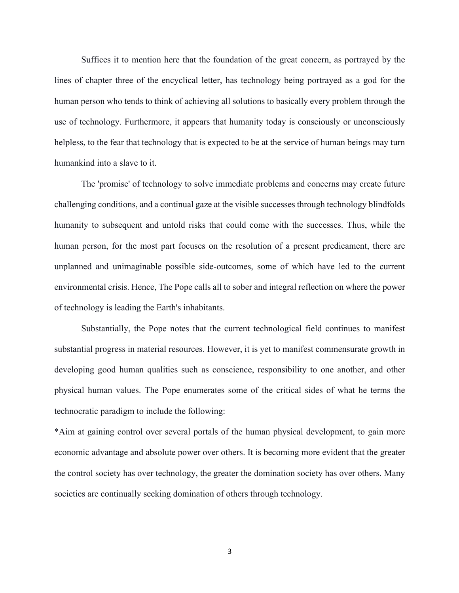Suffices it to mention here that the foundation of the great concern, as portrayed by the lines of chapter three of the encyclical letter, has technology being portrayed as a god for the human person who tends to think of achieving all solutions to basically every problem through the use of technology. Furthermore, it appears that humanity today is consciously or unconsciously helpless, to the fear that technology that is expected to be at the service of human beings may turn humankind into a slave to it.

The 'promise' of technology to solve immediate problems and concerns may create future challenging conditions, and a continual gaze at the visible successes through technology blindfolds humanity to subsequent and untold risks that could come with the successes. Thus, while the human person, for the most part focuses on the resolution of a present predicament, there are unplanned and unimaginable possible side-outcomes, some of which have led to the current environmental crisis. Hence, The Pope calls all to sober and integral reflection on where the power of technology is leading the Earth's inhabitants.

Substantially, the Pope notes that the current technological field continues to manifest substantial progress in material resources. However, it is yet to manifest commensurate growth in developing good human qualities such as conscience, responsibility to one another, and other physical human values. The Pope enumerates some of the critical sides of what he terms the technocratic paradigm to include the following:

\*Aim at gaining control over several portals of the human physical development, to gain more economic advantage and absolute power over others. It is becoming more evident that the greater the control society has over technology, the greater the domination society has over others. Many societies are continually seeking domination of others through technology.

3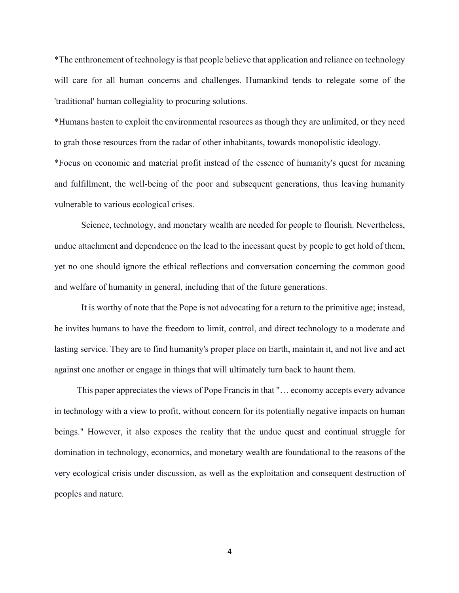\*The enthronement of technology is that people believe that application and reliance on technology will care for all human concerns and challenges. Humankind tends to relegate some of the 'traditional' human collegiality to procuring solutions.

\*Humans hasten to exploit the environmental resources as though they are unlimited, or they need to grab those resources from the radar of other inhabitants, towards monopolistic ideology.

\*Focus on economic and material profit instead of the essence of humanity's quest for meaning and fulfillment, the well-being of the poor and subsequent generations, thus leaving humanity vulnerable to various ecological crises.

Science, technology, and monetary wealth are needed for people to flourish. Nevertheless, undue attachment and dependence on the lead to the incessant quest by people to get hold of them, yet no one should ignore the ethical reflections and conversation concerning the common good and welfare of humanity in general, including that of the future generations.

It is worthy of note that the Pope is not advocating for a return to the primitive age; instead, he invites humans to have the freedom to limit, control, and direct technology to a moderate and lasting service. They are to find humanity's proper place on Earth, maintain it, and not live and act against one another or engage in things that will ultimately turn back to haunt them.

This paper appreciates the views of Pope Francis in that "… economy accepts every advance in technology with a view to profit, without concern for its potentially negative impacts on human beings." However, it also exposes the reality that the undue quest and continual struggle for domination in technology, economics, and monetary wealth are foundational to the reasons of the very ecological crisis under discussion, as well as the exploitation and consequent destruction of peoples and nature.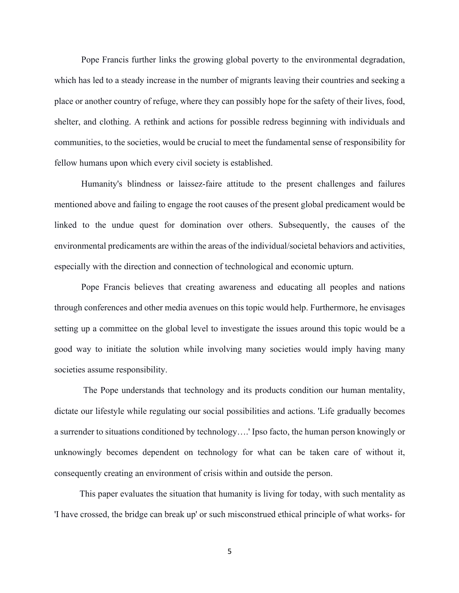Pope Francis further links the growing global poverty to the environmental degradation, which has led to a steady increase in the number of migrants leaving their countries and seeking a place or another country of refuge, where they can possibly hope for the safety of their lives, food, shelter, and clothing. A rethink and actions for possible redress beginning with individuals and communities, to the societies, would be crucial to meet the fundamental sense of responsibility for fellow humans upon which every civil society is established.

Humanity's blindness or laissez-faire attitude to the present challenges and failures mentioned above and failing to engage the root causes of the present global predicament would be linked to the undue quest for domination over others. Subsequently, the causes of the environmental predicaments are within the areas of the individual/societal behaviors and activities, especially with the direction and connection of technological and economic upturn.

Pope Francis believes that creating awareness and educating all peoples and nations through conferences and other media avenues on this topic would help. Furthermore, he envisages setting up a committee on the global level to investigate the issues around this topic would be a good way to initiate the solution while involving many societies would imply having many societies assume responsibility.

The Pope understands that technology and its products condition our human mentality, dictate our lifestyle while regulating our social possibilities and actions. 'Life gradually becomes a surrender to situations conditioned by technology….' Ipso facto, the human person knowingly or unknowingly becomes dependent on technology for what can be taken care of without it, consequently creating an environment of crisis within and outside the person.

This paper evaluates the situation that humanity is living for today, with such mentality as 'I have crossed, the bridge can break up' or such misconstrued ethical principle of what works- for